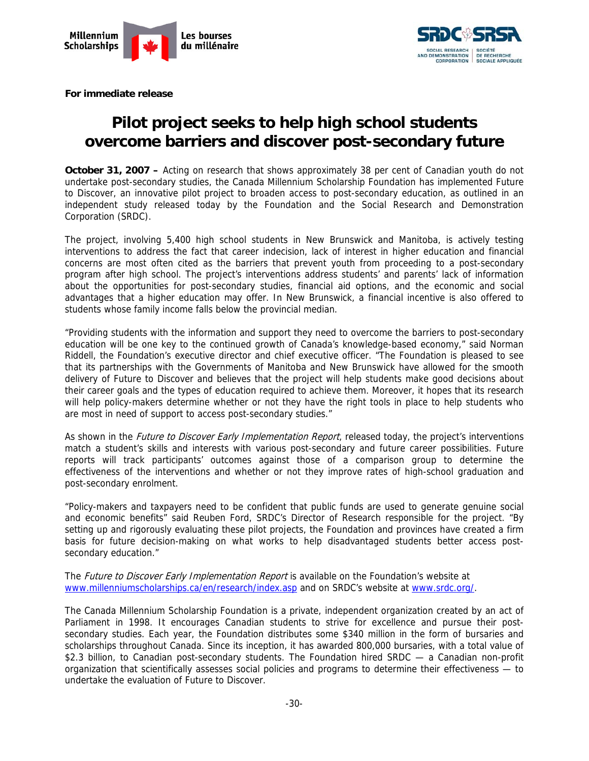



**For immediate release** 

## **Pilot project seeks to help high school students overcome barriers and discover post-secondary future**

**October 31, 2007** – Acting on research that shows approximately 38 per cent of Canadian youth do not undertake post-secondary studies, the Canada Millennium Scholarship Foundation has implemented Future to Discover, an innovative pilot project to broaden access to post-secondary education, as outlined in an independent study released today by the Foundation and the Social Research and Demonstration Corporation (SRDC).

The project, involving 5,400 high school students in New Brunswick and Manitoba, is actively testing interventions to address the fact that career indecision, lack of interest in higher education and financial concerns are most often cited as the barriers that prevent youth from proceeding to a post-secondary program after high school. The project's interventions address students' and parents' lack of information about the opportunities for post-secondary studies, financial aid options, and the economic and social advantages that a higher education may offer. In New Brunswick, a financial incentive is also offered to students whose family income falls below the provincial median.

"Providing students with the information and support they need to overcome the barriers to post-secondary education will be one key to the continued growth of Canada's knowledge-based economy," said Norman Riddell, the Foundation's executive director and chief executive officer. "The Foundation is pleased to see that its partnerships with the Governments of Manitoba and New Brunswick have allowed for the smooth delivery of Future to Discover and believes that the project will help students make good decisions about their career goals and the types of education required to achieve them. Moreover, it hopes that its research will help policy-makers determine whether or not they have the right tools in place to help students who are most in need of support to access post-secondary studies."

As shown in the *Future to Discover Early Implementation Report*, released today, the project's interventions match a student's skills and interests with various post-secondary and future career possibilities. Future reports will track participants' outcomes against those of a comparison group to determine the effectiveness of the interventions and whether or not they improve rates of high-school graduation and post-secondary enrolment.

"Policy-makers and taxpayers need to be confident that public funds are used to generate genuine social and economic benefits" said Reuben Ford, SRDC's Director of Research responsible for the project. "By setting up and rigorously evaluating these pilot projects, the Foundation and provinces have created a firm basis for future decision-making on what works to help disadvantaged students better access postsecondary education."

The Future to Discover Early Implementation Report is available on the Foundation's website at www.millenniumscholarships.ca/en/research/index.asp and on SRDC's website at www.srdc.org/.

The Canada Millennium Scholarship Foundation is a private, independent organization created by an act of Parliament in 1998. It encourages Canadian students to strive for excellence and pursue their postsecondary studies. Each year, the Foundation distributes some \$340 million in the form of bursaries and scholarships throughout Canada. Since its inception, it has awarded 800,000 bursaries, with a total value of \$2.3 billion, to Canadian post-secondary students. The Foundation hired SRDC — a Canadian non-profit organization that scientifically assesses social policies and programs to determine their effectiveness — to undertake the evaluation of Future to Discover.